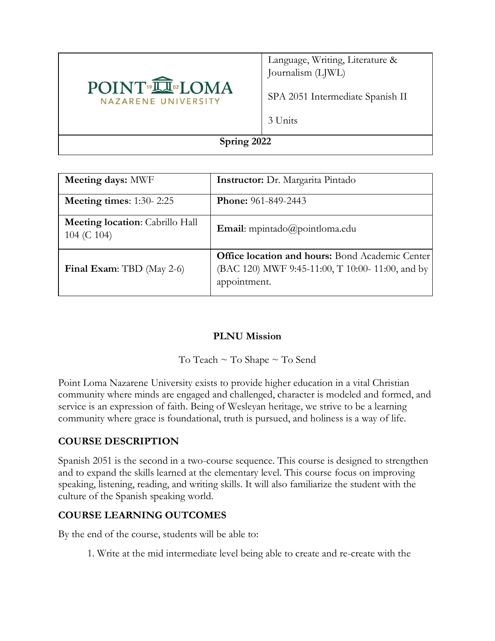

Language, Writing, Literature & Journalism (LJWL)

SPA 2051 Intermediate Spanish II

3 Units

#### **Spring 2022**

| <b>Meeting days: MWF</b>                              | <b>Instructor:</b> Dr. Margarita Pintado                                                                                   |
|-------------------------------------------------------|----------------------------------------------------------------------------------------------------------------------------|
| Meeting times: $1:30-2:25$                            | <b>Phone:</b> 961-849-2443                                                                                                 |
| <b>Meeting location:</b> Cabrillo Hall<br>104 (C 104) | <b>Email:</b> mpintado@pointloma.edu                                                                                       |
| Final Exam: TBD (May 2-6)                             | <b>Office location and hours:</b> Bond Academic Center<br>(BAC 120) MWF 9:45-11:00, T 10:00- 11:00, and by<br>appointment. |

### **PLNU Mission**

To Teach ~ To Shape ~ To Send

Point Loma Nazarene University exists to provide higher education in a vital Christian community where minds are engaged and challenged, character is modeled and formed, and service is an expression of faith. Being of Wesleyan heritage, we strive to be a learning community where grace is foundational, truth is pursued, and holiness is a way of life.

### **COURSE DESCRIPTION**

Spanish 2051 is the second in a two-course sequence. This course is designed to strengthen and to expand the skills learned at the elementary level. This course focus on improving speaking, listening, reading, and writing skills. It will also familiarize the student with the culture of the Spanish speaking world.

### **COURSE LEARNING OUTCOMES**

By the end of the course, students will be able to:

1. Write at the mid intermediate level being able to create and re-create with the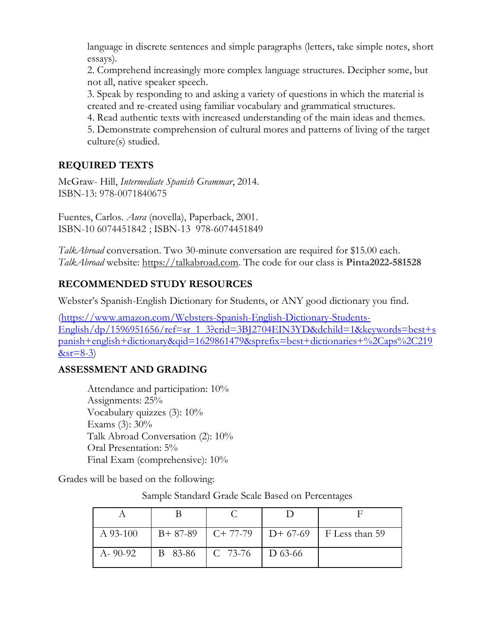language in discrete sentences and simple paragraphs (letters, take simple notes, short essays).

2. Comprehend increasingly more complex language structures. Decipher some, but not all, native speaker speech.

3. Speak by responding to and asking a variety of questions in which the material is created and re-created using familiar vocabulary and grammatical structures.

4. Read authentic texts with increased understanding of the main ideas and themes.

5. Demonstrate comprehension of cultural mores and patterns of living of the target culture(s) studied.

# **REQUIRED TEXTS**

McGraw- Hill, *Intermediate Spanish Grammar*, 2014. ISBN-13: 978-0071840675

Fuentes, Carlos. *Aura* (novella), Paperback, 2001. ISBN-10 6074451842 ; ISBN-13 978-6074451849

*TalkAbroad* conversation. Two 30-minute conversation are required for \$15.00 each. *TalkAbroad* website: [https://talkabroad.com.](https://talkabroad.com/) The code for our class is **Pinta2022-581528**

# **RECOMMENDED STUDY RESOURCES**

Webster's Spanish-English Dictionary for Students, or ANY good dictionary you find.

[\(https://www.amazon.com/Websters-Spanish-English-Dictionary-Students-](https://www.amazon.com/Websters-Spanish-English-Dictionary-Students-English/dp/1596951656/ref=sr_1_3?crid=3BJ2704EIN3YD&dchild=1&keywords=best+spanish+english+dictionary&qid=1629861479&sprefix=best+dictionaries+%2Caps%2C219&sr=8-3)[English/dp/1596951656/ref=sr\\_1\\_3?crid=3BJ2704EIN3YD&dchild=1&keywords=best+s](https://www.amazon.com/Websters-Spanish-English-Dictionary-Students-English/dp/1596951656/ref=sr_1_3?crid=3BJ2704EIN3YD&dchild=1&keywords=best+spanish+english+dictionary&qid=1629861479&sprefix=best+dictionaries+%2Caps%2C219&sr=8-3) [panish+english+dictionary&qid=1629861479&sprefix=best+dictionaries+%2Caps%2C219](https://www.amazon.com/Websters-Spanish-English-Dictionary-Students-English/dp/1596951656/ref=sr_1_3?crid=3BJ2704EIN3YD&dchild=1&keywords=best+spanish+english+dictionary&qid=1629861479&sprefix=best+dictionaries+%2Caps%2C219&sr=8-3)  $&sr=8-3$ )

# **ASSESSMENT AND GRADING**

Attendance and participation: 10% Assignments: 25% Vocabulary quizzes (3): 10% Exams (3): 30% Talk Abroad Conversation (2): 10% Oral Presentation: 5% Final Exam (comprehensive): 10%

Grades will be based on the following:

Sample Standard Grade Scale Based on Percentages

| $A$ 93-100 |         |                               | B+ 87-89   C+ 77-79   D+ 67-69   F Less than 59 |
|------------|---------|-------------------------------|-------------------------------------------------|
| A-90-92    | B 83-86 | $\mid$ C 73-76 $\mid$ D 63-66 |                                                 |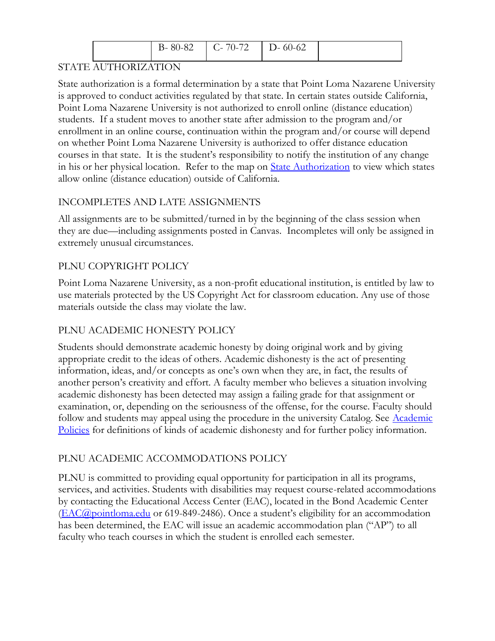| 80-82<br>- K_ | $\Gamma$ C- 70-72 | $D - 60 - 62$ |  |
|---------------|-------------------|---------------|--|
|               |                   |               |  |

# STATE AUTHORIZATION

State authorization is a formal determination by a state that Point Loma Nazarene University is approved to conduct activities regulated by that state. In certain states outside California, Point Loma Nazarene University is not authorized to enroll online (distance education) students. If a student moves to another state after admission to the program and/or enrollment in an online course, continuation within the program and/or course will depend on whether Point Loma Nazarene University is authorized to offer distance education courses in that state. It is the student's responsibility to notify the institution of any change in his or her physical location. Refer to the map on **State Authorization** to view which states allow online (distance education) outside of California.

# INCOMPLETES AND LATE ASSIGNMENTS

All assignments are to be submitted/turned in by the beginning of the class session when they are due—including assignments posted in Canvas. Incompletes will only be assigned in extremely unusual circumstances.

# PLNU COPYRIGHT POLICY

Point Loma Nazarene University, as a non-profit educational institution, is entitled by law to use materials protected by the US Copyright Act for classroom education. Any use of those materials outside the class may violate the law.

# PLNU ACADEMIC HONESTY POLICY

Students should demonstrate academic honesty by doing original work and by giving appropriate credit to the ideas of others. Academic dishonesty is the act of presenting information, ideas, and/or concepts as one's own when they are, in fact, the results of another person's creativity and effort. A faculty member who believes a situation involving academic dishonesty has been detected may assign a failing grade for that assignment or examination, or, depending on the seriousness of the offense, for the course. Faculty should follow and students may appeal using the procedure in the university Catalog. See Academic [Policies](https://catalog.pointloma.edu/content.php?catoid=52&navoid=2919#Academic_Honesty) for definitions of kinds of academic dishonesty and for further policy information.

# PLNU ACADEMIC ACCOMMODATIONS POLICY

PLNU is committed to providing equal opportunity for participation in all its programs, services, and activities. Students with disabilities may request course-related accommodations by contacting the Educational Access Center (EAC), located in the Bond Academic Center [\(EAC@pointloma.edu](mailto:EAC@pointloma.edu) or 619-849-2486). Once a student's eligibility for an accommodation has been determined, the EAC will issue an academic accommodation plan ("AP") to all faculty who teach courses in which the student is enrolled each semester.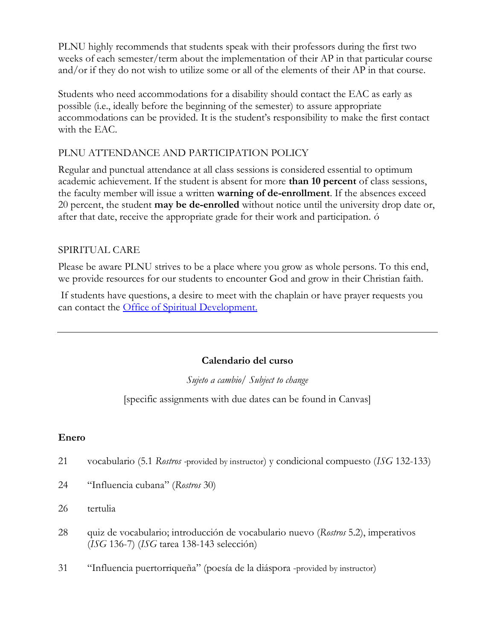PLNU highly recommends that students speak with their professors during the first two weeks of each semester/term about the implementation of their AP in that particular course and/or if they do not wish to utilize some or all of the elements of their AP in that course.

Students who need accommodations for a disability should contact the EAC as early as possible (i.e., ideally before the beginning of the semester) to assure appropriate accommodations can be provided. It is the student's responsibility to make the first contact with the EAC.

# PLNU ATTENDANCE AND PARTICIPATION POLICY

Regular and punctual attendance at all class sessions is considered essential to optimum academic achievement. If the student is absent for more **than 10 percent** of class sessions, the faculty member will issue a written **warning of de-enrollment**. If the absences exceed 20 percent, the student **may be de-enrolled** without notice until the university drop date or, after that date, receive the appropriate grade for their work and participation. ó

### SPIRITUAL CARE

Please be aware PLNU strives to be a place where you grow as whole persons. To this end, we provide resources for our students to encounter God and grow in their Christian faith.

If students have questions, a desire to meet with the chaplain or have prayer requests you can contact the Office of Spiritual Development.

### **Calendario del curso**

*Sujeto a cambio/ Subject to change*

[specific assignments with due dates can be found in Canvas]

### **Enero**

- 21 vocabulario (5.1 *Rostros -*provided by instructor) y condicional compuesto (*ISG* 132-133)
- 24 "Influencia cubana" (*Rostros* 30)
- 26 tertulia
- 28 quiz de vocabulario; introducción de vocabulario nuevo (*Rostros* 5.2), imperativos (*ISG* 136-7) (*ISG* tarea 138-143 selección)
- 31 "Influencia puertorriqueña" (poesía de la diáspora -provided by instructor)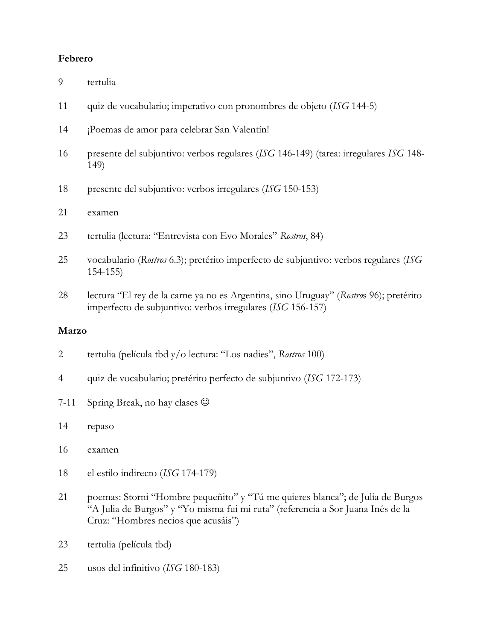#### **Febrero**

- tertulia
- quiz de vocabulario; imperativo con pronombres de objeto (*ISG* 144-5)
- ¡Poemas de amor para celebrar San Valentín!
- presente del subjuntivo: verbos regulares (*ISG* 146-149) (tarea: irregulares *ISG* 148- 149)
- presente del subjuntivo: verbos irregulares (*ISG* 150-153)
- examen
- tertulia (lectura: "Entrevista con Evo Morales" *Rostros*, 84)
- vocabulario (*Rostros* 6.3); pretérito imperfecto de subjuntivo: verbos regulares (*ISG* 154-155)
- lectura "El rey de la carne ya no es Argentina, sino Uruguay" (*Rostro*s 96); pretérito imperfecto de subjuntivo: verbos irregulares (*ISG* 156-157)

#### **Marzo**

- tertulia (película tbd y/o lectura: "Los nadies", *Rostros* 100)
- quiz de vocabulario; pretérito perfecto de subjuntivo (*ISG* 172-173)
- 7-11 Spring Break, no hay clases  $\odot$
- repaso
- examen
- el estilo indirecto (*ISG* 174-179)
- poemas: Storni "Hombre pequeñito" y "Tú me quieres blanca"; de Julia de Burgos "A Julia de Burgos" y "Yo misma fui mi ruta" (referencia a Sor Juana Inés de la Cruz: "Hombres necios que acusáis")
- tertulia (película tbd)
- usos del infinitivo (*ISG* 180-183)